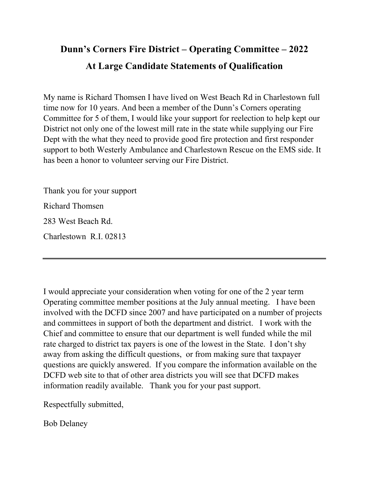## **Dunn's Corners Fire District – Operating Committee – 2022 At Large Candidate Statements of Qualification**

My name is Richard Thomsen I have lived on West Beach Rd in Charlestown full time now for 10 years. And been a member of the Dunn's Corners operating Committee for 5 of them, I would like your support for reelection to help kept our District not only one of the lowest mill rate in the state while supplying our Fire Dept with the what they need to provide good fire protection and first responder support to both Westerly Ambulance and Charlestown Rescue on the EMS side. It has been a honor to volunteer serving our Fire District.

Thank you for your support Richard Thomsen 283 West Beach Rd. Charlestown R.I. 02813

I would appreciate your consideration when voting for one of the 2 year term Operating committee member positions at the July annual meeting. I have been involved with the DCFD since 2007 and have participated on a number of projects and committees in support of both the department and district. I work with the Chief and committee to ensure that our department is well funded while the mil rate charged to district tax payers is one of the lowest in the State. I don't shy away from asking the difficult questions, or from making sure that taxpayer questions are quickly answered. If you compare the information available on the DCFD web site to that of other area districts you will see that DCFD makes information readily available. Thank you for your past support.

Respectfully submitted,

Bob Delaney